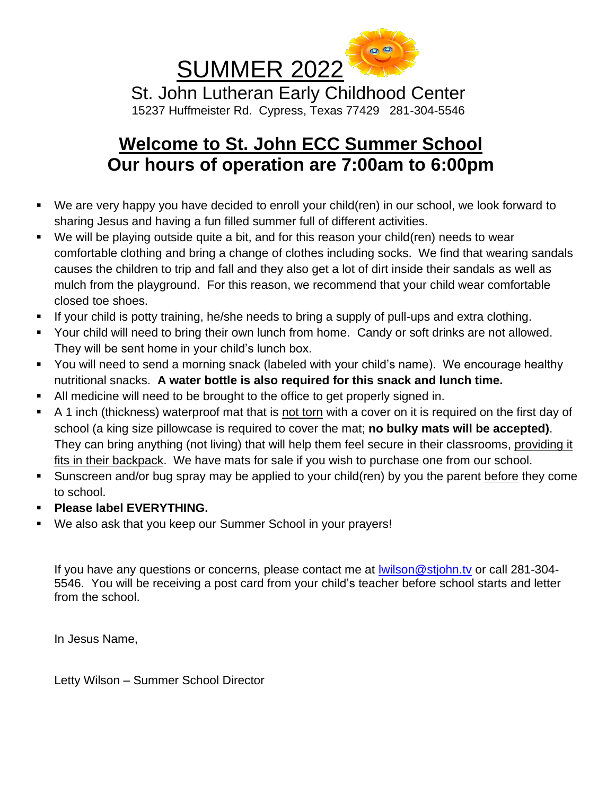

## **Welcome to St. John ECC Summer School Our hours of operation are 7:00am to 6:00pm**

- We are very happy you have decided to enroll your child(ren) in our school, we look forward to sharing Jesus and having a fun filled summer full of different activities.
- We will be playing outside quite a bit, and for this reason your child(ren) needs to wear comfortable clothing and bring a change of clothes including socks. We find that wearing sandals causes the children to trip and fall and they also get a lot of dirt inside their sandals as well as mulch from the playground. For this reason, we recommend that your child wear comfortable closed toe shoes.
- If your child is potty training, he/she needs to bring a supply of pull-ups and extra clothing.
- Your child will need to bring their own lunch from home. Candy or soft drinks are not allowed. They will be sent home in your child's lunch box.
- You will need to send a morning snack (labeled with your child's name). We encourage healthy nutritional snacks. **A water bottle is also required for this snack and lunch time.**
- All medicine will need to be brought to the office to get properly signed in.
- A 1 inch (thickness) waterproof mat that is not torn with a cover on it is required on the first day of school (a king size pillowcase is required to cover the mat; **no bulky mats will be accepted)**. They can bring anything (not living) that will help them feel secure in their classrooms, providing it fits in their backpack. We have mats for sale if you wish to purchase one from our school.
- Sunscreen and/or bug spray may be applied to your child(ren) by you the parent before they come to school.
- **Please label EVERYTHING.**
- We also ask that you keep our Summer School in your prayers!

If you have any questions or concerns, please contact me at [lwilson@stjohn.tv](mailto:lwilson@stjohn.tv) or call 281-304- 5546. You will be receiving a post card from your child's teacher before school starts and letter from the school.

In Jesus Name,

Letty Wilson – Summer School Director